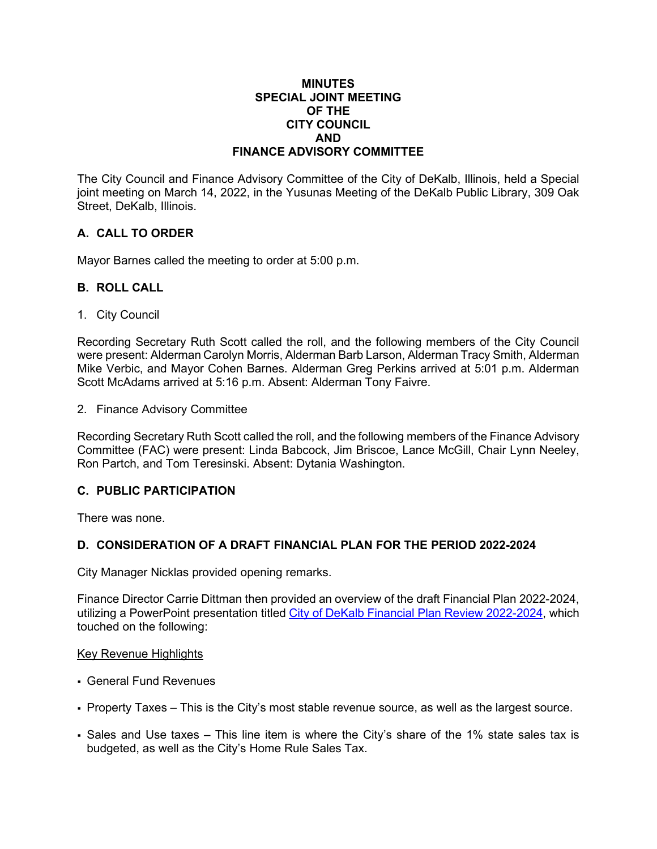#### **MINUTES SPECIAL JOINT MEETING OF THE CITY COUNCIL AND FINANCE ADVISORY COMMITTEE**

The City Council and Finance Advisory Committee of the City of DeKalb, Illinois, held a Special joint meeting on March 14, 2022, in the Yusunas Meeting of the DeKalb Public Library, 309 Oak Street, DeKalb, Illinois.

# **A. CALL TO ORDER**

Mayor Barnes called the meeting to order at 5:00 p.m.

#### **B. ROLL CALL**

1. City Council

Recording Secretary Ruth Scott called the roll, and the following members of the City Council were present: Alderman Carolyn Morris, Alderman Barb Larson, Alderman Tracy Smith, Alderman Mike Verbic, and Mayor Cohen Barnes. Alderman Greg Perkins arrived at 5:01 p.m. Alderman Scott McAdams arrived at 5:16 p.m. Absent: Alderman Tony Faivre.

2. Finance Advisory Committee

Recording Secretary Ruth Scott called the roll, and the following members of the Finance Advisory Committee (FAC) were present: Linda Babcock, Jim Briscoe, Lance McGill, Chair Lynn Neeley, Ron Partch, and Tom Teresinski. Absent: Dytania Washington.

## **C. PUBLIC PARTICIPATION**

There was none.

## **D. CONSIDERATION OF A DRAFT FINANCIAL PLAN FOR THE PERIOD 2022-2024**

City Manager Nicklas provided opening remarks.

Finance Director Carrie Dittman then provided an overview of the draft Financial Plan 2022-2024, utilizing a PowerPoint presentation titled City of DeKalb [Financial Plan Review 2022-2024,](https://www.cityofdekalb.com/DocumentCenter/View/13717/1-031422-Financial-Plan-Review) which touched on the following:

#### Key Revenue Highlights

- General Fund Revenues
- Property Taxes This is the City's most stable revenue source, as well as the largest source.
- Sales and Use taxes This line item is where the City's share of the 1% state sales tax is budgeted, as well as the City's Home Rule Sales Tax.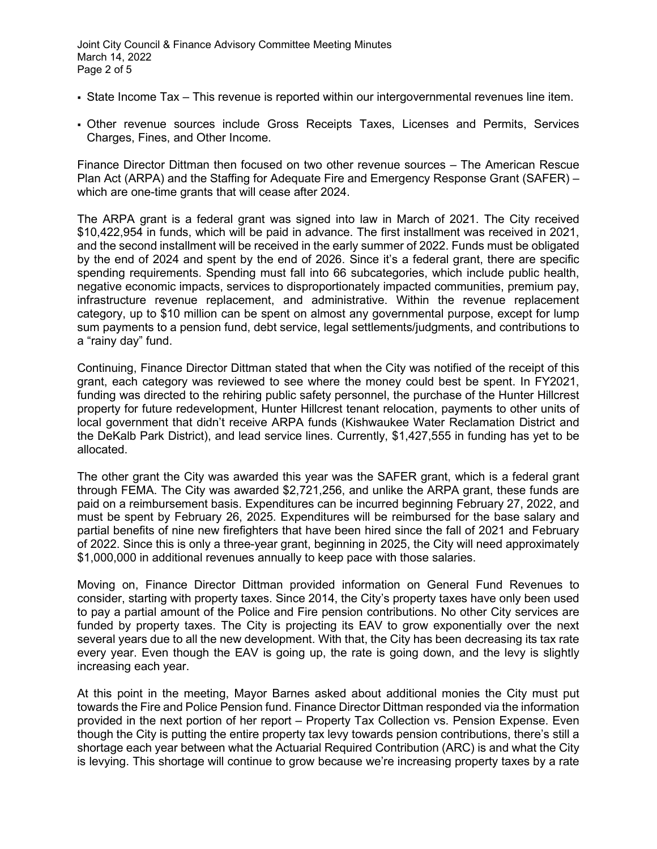- State Income Tax This revenue is reported within our intergovernmental revenues line item.
- Other revenue sources include Gross Receipts Taxes, Licenses and Permits, Services Charges, Fines, and Other Income.

Finance Director Dittman then focused on two other revenue sources – The American Rescue Plan Act (ARPA) and the Staffing for Adequate Fire and Emergency Response Grant (SAFER) – which are one-time grants that will cease after 2024.

The ARPA grant is a federal grant was signed into law in March of 2021. The City received \$10,422,954 in funds, which will be paid in advance. The first installment was received in 2021, and the second installment will be received in the early summer of 2022. Funds must be obligated by the end of 2024 and spent by the end of 2026. Since it's a federal grant, there are specific spending requirements. Spending must fall into 66 subcategories, which include public health, negative economic impacts, services to disproportionately impacted communities, premium pay, infrastructure revenue replacement, and administrative. Within the revenue replacement category, up to \$10 million can be spent on almost any governmental purpose, except for lump sum payments to a pension fund, debt service, legal settlements/judgments, and contributions to a "rainy day" fund.

Continuing, Finance Director Dittman stated that when the City was notified of the receipt of this grant, each category was reviewed to see where the money could best be spent. In FY2021, funding was directed to the rehiring public safety personnel, the purchase of the Hunter Hillcrest property for future redevelopment, Hunter Hillcrest tenant relocation, payments to other units of local government that didn't receive ARPA funds (Kishwaukee Water Reclamation District and the DeKalb Park District), and lead service lines. Currently, \$1,427,555 in funding has yet to be allocated.

The other grant the City was awarded this year was the SAFER grant, which is a federal grant through FEMA. The City was awarded \$2,721,256, and unlike the ARPA grant, these funds are paid on a reimbursement basis. Expenditures can be incurred beginning February 27, 2022, and must be spent by February 26, 2025. Expenditures will be reimbursed for the base salary and partial benefits of nine new firefighters that have been hired since the fall of 2021 and February of 2022. Since this is only a three-year grant, beginning in 2025, the City will need approximately \$1,000,000 in additional revenues annually to keep pace with those salaries.

Moving on, Finance Director Dittman provided information on General Fund Revenues to consider, starting with property taxes. Since 2014, the City's property taxes have only been used to pay a partial amount of the Police and Fire pension contributions. No other City services are funded by property taxes. The City is projecting its EAV to grow exponentially over the next several years due to all the new development. With that, the City has been decreasing its tax rate every year. Even though the EAV is going up, the rate is going down, and the levy is slightly increasing each year.

At this point in the meeting, Mayor Barnes asked about additional monies the City must put towards the Fire and Police Pension fund. Finance Director Dittman responded via the information provided in the next portion of her report – Property Tax Collection vs. Pension Expense. Even though the City is putting the entire property tax levy towards pension contributions, there's still a shortage each year between what the Actuarial Required Contribution (ARC) is and what the City is levying. This shortage will continue to grow because we're increasing property taxes by a rate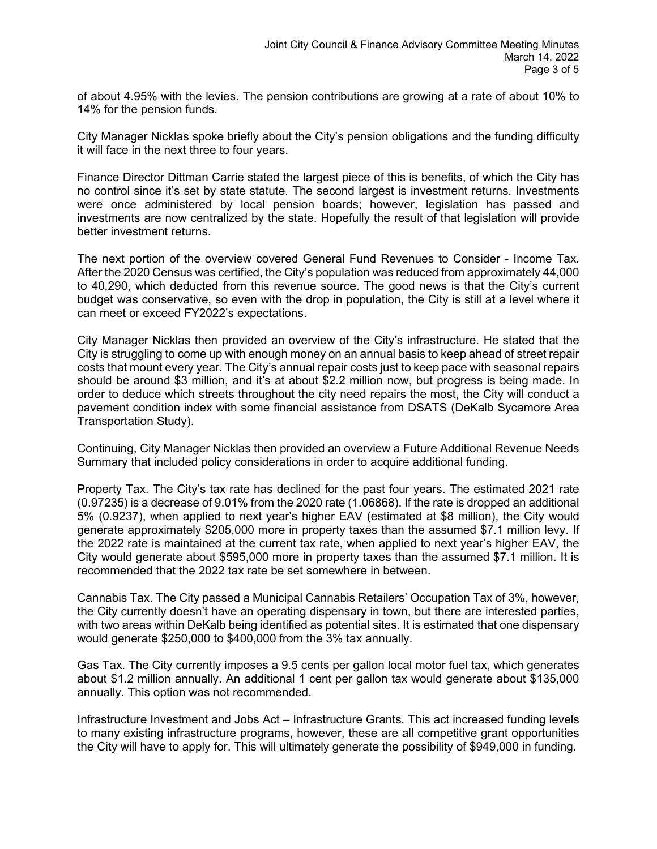of about 4.95% with the levies. The pension contributions are growing at a rate of about 10% to 14% for the pension funds.

City Manager Nicklas spoke briefly about the City's pension obligations and the funding difficulty it will face in the next three to four years.

Finance Director Dittman Carrie stated the largest piece of this is benefits, of which the City has no control since it's set by state statute. The second largest is investment returns. Investments were once administered by local pension boards; however, legislation has passed and investments are now centralized by the state. Hopefully the result of that legislation will provide better investment returns.

The next portion of the overview covered General Fund Revenues to Consider - Income Tax. After the 2020 Census was certified, the City's population was reduced from approximately 44,000 to 40,290, which deducted from this revenue source. The good news is that the City's current budget was conservative, so even with the drop in population, the City is still at a level where it can meet or exceed FY2022's expectations.

City Manager Nicklas then provided an overview of the City's infrastructure. He stated that the City is struggling to come up with enough money on an annual basis to keep ahead of street repair costs that mount every year. The City's annual repair costs just to keep pace with seasonal repairs should be around \$3 million, and it's at about \$2.2 million now, but progress is being made. In order to deduce which streets throughout the city need repairs the most, the City will conduct a pavement condition index with some financial assistance from DSATS (DeKalb Sycamore Area Transportation Study).

Continuing, City Manager Nicklas then provided an overview a Future Additional Revenue Needs Summary that included policy considerations in order to acquire additional funding.

Property Tax. The City's tax rate has declined for the past four years. The estimated 2021 rate (0.97235) is a decrease of 9.01% from the 2020 rate (1.06868). If the rate is dropped an additional 5% (0.9237), when applied to next year's higher EAV (estimated at \$8 million), the City would generate approximately \$205,000 more in property taxes than the assumed \$7.1 million levy. If the 2022 rate is maintained at the current tax rate, when applied to next year's higher EAV, the City would generate about \$595,000 more in property taxes than the assumed \$7.1 million. It is recommended that the 2022 tax rate be set somewhere in between.

Cannabis Tax. The City passed a Municipal Cannabis Retailers' Occupation Tax of 3%, however, the City currently doesn't have an operating dispensary in town, but there are interested parties, with two areas within DeKalb being identified as potential sites. It is estimated that one dispensary would generate \$250,000 to \$400,000 from the 3% tax annually.

Gas Tax. The City currently imposes a 9.5 cents per gallon local motor fuel tax, which generates about \$1.2 million annually. An additional 1 cent per gallon tax would generate about \$135,000 annually. This option was not recommended.

Infrastructure Investment and Jobs Act – Infrastructure Grants. This act increased funding levels to many existing infrastructure programs, however, these are all competitive grant opportunities the City will have to apply for. This will ultimately generate the possibility of \$949,000 in funding.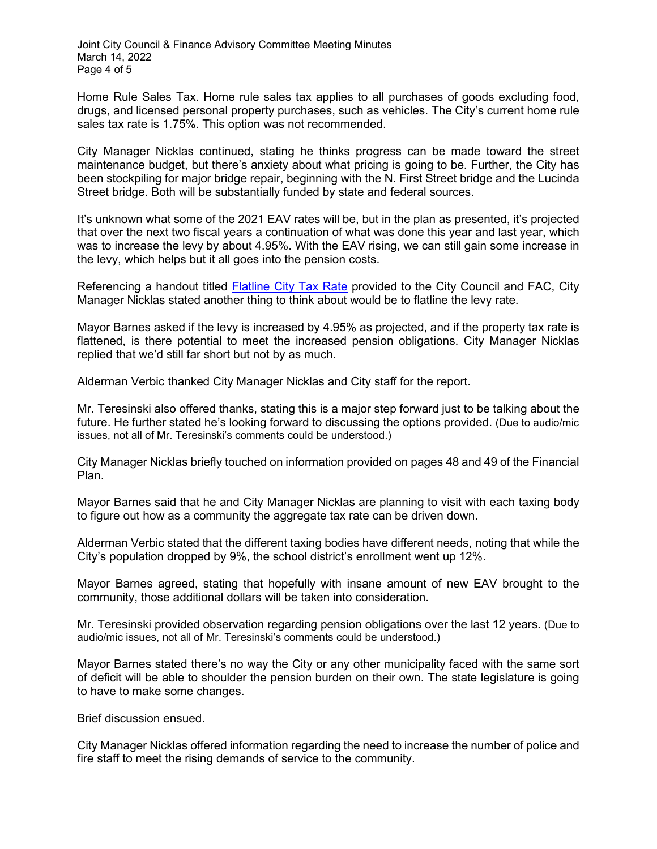Home Rule Sales Tax. Home rule sales tax applies to all purchases of goods excluding food, drugs, and licensed personal property purchases, such as vehicles. The City's current home rule sales tax rate is 1.75%. This option was not recommended.

City Manager Nicklas continued, stating he thinks progress can be made toward the street maintenance budget, but there's anxiety about what pricing is going to be. Further, the City has been stockpiling for major bridge repair, beginning with the N. First Street bridge and the Lucinda Street bridge. Both will be substantially funded by state and federal sources.

It's unknown what some of the 2021 EAV rates will be, but in the plan as presented, it's projected that over the next two fiscal years a continuation of what was done this year and last year, which was to increase the levy by about 4.95%. With the EAV rising, we can still gain some increase in the levy, which helps but it all goes into the pension costs.

Referencing a handout titled [Flatline City Tax Rate](https://www.cityofdekalb.com/DocumentCenter/View/13718/2-031422-Flatline-City-Tax-Rate-Document) provided to the City Council and FAC, City Manager Nicklas stated another thing to think about would be to flatline the levy rate.

Mayor Barnes asked if the levy is increased by 4.95% as projected, and if the property tax rate is flattened, is there potential to meet the increased pension obligations. City Manager Nicklas replied that we'd still far short but not by as much.

Alderman Verbic thanked City Manager Nicklas and City staff for the report.

Mr. Teresinski also offered thanks, stating this is a major step forward just to be talking about the future. He further stated he's looking forward to discussing the options provided. (Due to audio/mic issues, not all of Mr. Teresinski's comments could be understood.)

City Manager Nicklas briefly touched on information provided on pages 48 and 49 of the Financial Plan.

Mayor Barnes said that he and City Manager Nicklas are planning to visit with each taxing body to figure out how as a community the aggregate tax rate can be driven down.

Alderman Verbic stated that the different taxing bodies have different needs, noting that while the City's population dropped by 9%, the school district's enrollment went up 12%.

Mayor Barnes agreed, stating that hopefully with insane amount of new EAV brought to the community, those additional dollars will be taken into consideration.

Mr. Teresinski provided observation regarding pension obligations over the last 12 years. (Due to audio/mic issues, not all of Mr. Teresinski's comments could be understood.)

Mayor Barnes stated there's no way the City or any other municipality faced with the same sort of deficit will be able to shoulder the pension burden on their own. The state legislature is going to have to make some changes.

Brief discussion ensued.

City Manager Nicklas offered information regarding the need to increase the number of police and fire staff to meet the rising demands of service to the community.